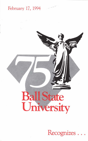# February 17, 1994

# **Ball State**<br>University

**Recognizes**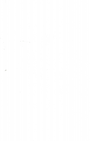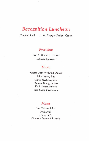# **Recognition** *Luncheon*

*Cardinal Hall L. A. Pittenger Student Center* 

# *Presiding*

John *E.* Worthen, *President Ball State University* 

## Music

*Musical* Arts *Woodwind* Quintet *Julia Larson, flute*  Carrie *Vecchione, oboe Caroline Hartig, clarinet Keith Sweger, bassoon Fred Ehnes, French* horn

# *Menu*

*Hot Chicken Salad Fresh* Fruit *Orange Rolls Chocolate Squares* a *la mode*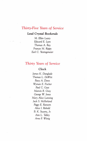## **Thirty-Five** *Years of Service*

#### **Lead Crystal** *Bookends*

M. *Ellen Lacey Edward E.* Lyon *Thomas A. Ray Frances* M. *Rippy Earl* C. *Yestingsmeier* 

# **Thirty** *Years* **of Service**

#### **Clock**

*James K. Danglade Thomas* L. *DeWitt Patsy* A. *Donn Wyman E. Fischer Paul* C. *Gast Marvin R.* Gray *George W. Jones*  Mary *Alice Lanning Jack S. McFarland Peggy E. Ransom Alice I. Robold B. K.* Swartz, Jr. Ann L. *Talley*  Arno F. *Wittig*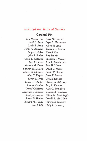### *Twenty-Five Years of Service*

#### *Cardinal* **Pin**

*Mir Masoom Ali David B. Annis Linda* F *Annis Nikki A. Assmann Ralph E. Baker*  You-Yuh *Kuo John R. Barber Harold* L. *Caldwell*  John F *Clouse Kenneth* M. *Davis Lambert H. Deckers Anthony* 0. *Edmonds Robert K. Fritz Lewis E. Gillespie Jane* A. Ginther *Gerald Goldstone Lawrence J. Graham Stanley Grossman James W. Hardin John J. Hill* 

*Alan* C. *English Bruce E.* Partner *Richard* M. *Henak*  Harolyn F *Vanevery Bruce W. Hozeski Roger* L. *Hutchinson Albert* H. *Jones William L. Kramer Pang-Fai Ma Elizabeth J.* Mackey *Jerre* L. *McManama John H. Meiser David* C. Morris Frank W. Owens *Oswald Petrucco*  Charles *A. Ridgeway*  Jerry L. *Rushton Alan* C. *Samuelson Thomas R. Tomlinson Milton* M. *Underkoffler Donald E. Van* Meter *Philip G. Vanevery*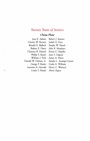## **Twenty** *Years of Service*

#### **China** *Plate*

*Jane* E. *Adams Charles W. Barnett Ronald* G. *Bullock Rodney E. Davis Clarence R. Deitsch Phillip* S. Ewart *William* J. Fink *Donald W. Gilman, Jr. George* F. *Flanks Jeannine A. Harrold Linda* S. *Heady* 

 $n<sup>2</sup>$ 

*Robert J. Koester Judith* G. Koor Sandra W. Marsh *John R. Meadows*  Erwin C. *Mueller Joan S. Osgood James A. Poteet Sandra* L. *Swanger-Canter Carla A. Wilhoite*  Henry C. *Womack Abera Zegeye*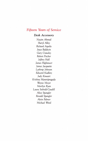# *Fifteen Years* of Service

#### *Desk Accessory*

*Nazim Ahmed*  Sheryl *Alley Richard Aquila Joyce Baldwin Gary Crawley Robert Fischer Jeffrey Hall James Hightower James Jacquette Lathrop Johnson Edward Kadletz Judy Kousari Krishna Mantripragada Wayne* Meyer Marilyn *Ryan Laura Seibold-Caudill Alice Spangler Ronald Spangler Alvin Palmer Michael Wood*